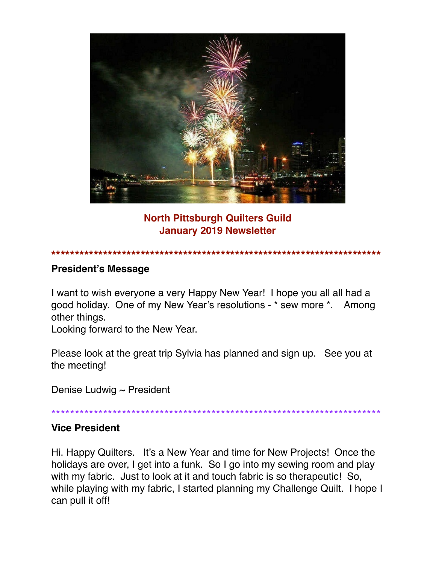

### **North Pittsburgh Quilters Guild January 2019 Newsletter**

#### **\*\*\*\*\*\*\*\*\*\*\*\*\*\*\*\*\*\*\*\*\*\*\*\*\*\*\*\*\*\*\*\*\*\*\*\*\*\*\*\*\*\*\*\*\*\*\*\*\*\*\*\*\*\*\*\*\*\*\*\*\*\*\*\*\*\*\*\*\*\***

#### **President's Message**

I want to wish everyone a very Happy New Year! I hope you all all had a good holiday. One of my New Year's resolutions - \* sew more \*. Among other things.

Looking forward to the New Year.

Please look at the great trip Sylvia has planned and sign up. See you at the meeting!

Denise Ludwig  $\sim$  President

\*\*\*\*\*\*\*\*\*\*\*\*\*\*\*\*\*\*\*\*\*\*\*\*\*\*\*\*\*\*\*\*\*\*\*\*\*\*\*\*\*\*\*\*\*\*\*\*\*\*\*\*\*\*\*\*\*\*\*\*\*\*\*\*\*\*\*\*\*\*

### **Vice President**

Hi. Happy Quilters. It's a New Year and time for New Projects! Once the holidays are over, I get into a funk. So I go into my sewing room and play with my fabric. Just to look at it and touch fabric is so therapeutic! So, while playing with my fabric, I started planning my Challenge Quilt. I hope I can pull it off!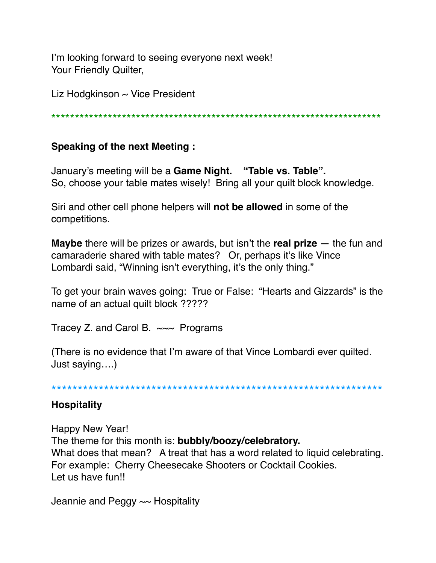I'm looking forward to seeing everyone next week! Your Friendly Quilter,

Liz Hodgkinson  $\sim$  Vice President

\*\*\*\*\*\*\*\*\*\*\*\*\*\*\*\*\*\*\*\*\*\*\*\*\*\*\*\*\*\*\*\*\*\*\*\*\*\*\*\*\*\*\*\*\*\*\*\*\*\*\*\*\*\*\*\*\*\*\*\*\*\*\*\*\*\*\*\*\*\*

### **Speaking of the next Meeting :**

January's meeting will be a **Game Night. "Table vs. Table".** So, choose your table mates wisely! Bring all your quilt block knowledge.

Siri and other cell phone helpers will **not be allowed** in some of the competitions.

**Maybe** there will be prizes or awards, but isn't the **real prize —** the fun and camaraderie shared with table mates? Or, perhaps it's like Vince Lombardi said, "Winning isn't everything, it's the only thing."

To get your brain waves going: True or False: "Hearts and Gizzards" is the name of an actual quilt block ?????

Tracey Z. and Carol B.  $\sim\sim$  Programs

(There is no evidence that I'm aware of that Vince Lombardi ever quilted. Just saying….)

\*\*\*\*\*\*\*\*\*\*\*\*\*\*\*\*\*\*\*\*\*\*\*\*\*\*\*\*\*\*\*\*\*\*\*\*\*\*\*\*\*\*\*\*\*\*\*\*\*\*\*\*\*\*\*\*\*\*\*\*\*\*\*

### **Hospitality**

Happy New Year! The theme for this month is: **bubbly/boozy/celebratory.** What does that mean? A treat that has a word related to liquid celebrating. For example: Cherry Cheesecake Shooters or Cocktail Cookies. Let us have fun!!

Jeannie and Peggy ~~ Hospitality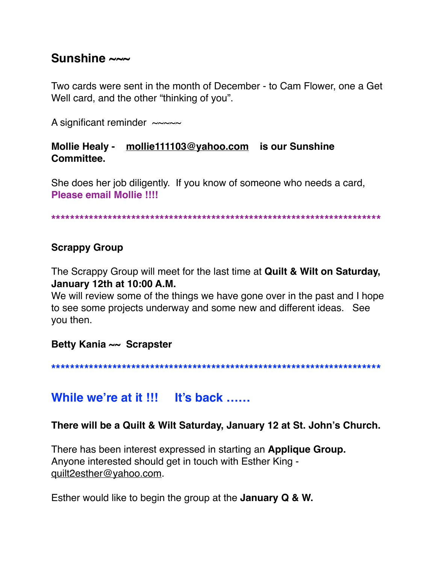### **Sunshine ~~~**

Two cards were sent in the month of December - to Cam Flower, one a Get Well card, and the other "thinking of you".

A significant reminder  $\sim\sim\sim\sim$ 

### **Mollie Healy - [mollie111103@yahoo.com](mailto:mollie111103@yahoo.com) is our Sunshine Committee.**

She does her job diligently. If you know of someone who needs a card, **Please email Mollie !!!!**

**\*\*\*\*\*\*\*\*\*\*\*\*\*\*\*\*\*\*\*\*\*\*\*\*\*\*\*\*\*\*\*\*\*\*\*\*\*\*\*\*\*\*\*\*\*\*\*\*\*\*\*\*\*\*\*\*\*\*\*\*\*\*\*\*\*\*\*\*\*\***

### **Scrappy Group**

The Scrappy Group will meet for the last time at **Quilt & Wilt on Saturday, January 12th at 10:00 A.M.**

We will review some of the things we have gone over in the past and I hope to see some projects underway and some new and different ideas. See you then.

**Betty Kania ~~ Scrapster**

**\*\*\*\*\*\*\*\*\*\*\*\*\*\*\*\*\*\*\*\*\*\*\*\*\*\*\*\*\*\*\*\*\*\*\*\*\*\*\*\*\*\*\*\*\*\*\*\*\*\*\*\*\*\*\*\*\*\*\*\*\*\*\*\*\*\*\*\*\*\***

## **While we're at it !!! It's back ……**

**There will be a Quilt & Wilt Saturday, January 12 at St. John's Church.**

There has been interest expressed in starting an **Applique Group.** Anyone interested should get in touch with Esther King [quilt2esther@yahoo.com](mailto:quilt2esther@yahoo.com).

Esther would like to begin the group at the **January Q & W.**